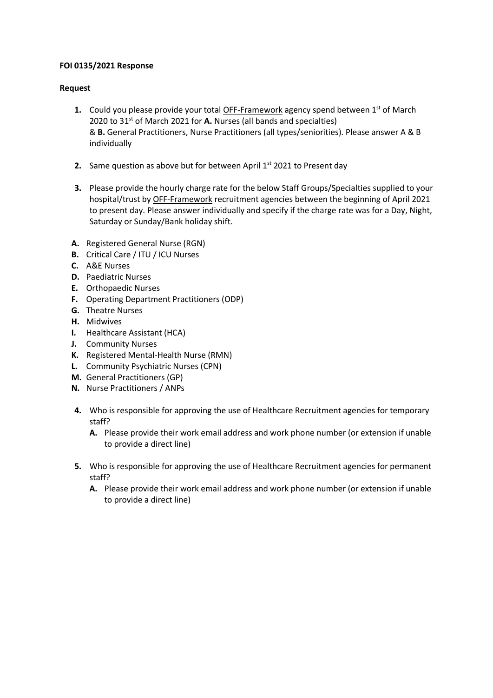## **FOI 0135/2021 Response**

## **Request**

- **1.** Could you please provide your total OFF-Framework agency spend between 1<sup>st</sup> of March 2020 to 31<sup>st</sup> of March 2021 for A. Nurses (all bands and specialties) & **B.** General Practitioners, Nurse Practitioners (all types/seniorities). Please answer A & B individually
- **2.** Same question as above but for between April 1<sup>st</sup> 2021 to Present day
- **3.** Please provide the hourly charge rate for the below Staff Groups/Specialties supplied to your hospital/trust by OFF-Framework recruitment agencies between the beginning of April 2021 to present day. Please answer individually and specify if the charge rate was for a Day, Night, Saturday or Sunday/Bank holiday shift.
- **A.** Registered General Nurse (RGN)
- **B.** Critical Care / ITU / ICU Nurses
- **C.** A&E Nurses
- **D.** Paediatric Nurses
- **E.** Orthopaedic Nurses
- **F.** Operating Department Practitioners (ODP)
- **G.** Theatre Nurses
- **H.** Midwives
- **I.** Healthcare Assistant (HCA)
- **J.** Community Nurses
- **K.** Registered Mental-Health Nurse (RMN)
- **L.** Community Psychiatric Nurses (CPN)
- **M.** General Practitioners (GP)
- **N.** Nurse Practitioners / ANPs
- **4.** Who is responsible for approving the use of Healthcare Recruitment agencies for temporary staff?
	- **A.** Please provide their work email address and work phone number (or extension if unable to provide a direct line)
- **5.** Who is responsible for approving the use of Healthcare Recruitment agencies for permanent staff?
	- **A.** Please provide their work email address and work phone number (or extension if unable to provide a direct line)